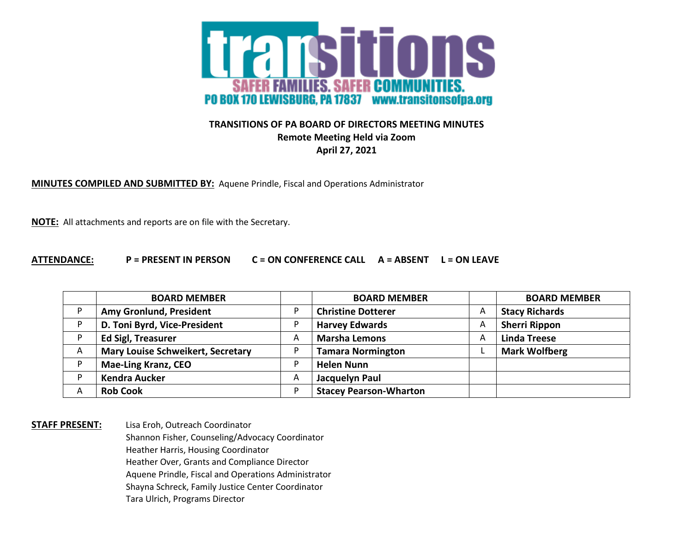

## **TRANSITIONS OF PA BOARD OF DIRECTORS MEETING MINUTES Remote Meeting Held via Zoom April 27, 2021**

**MINUTES COMPILED AND SUBMITTED BY:** Aquene Prindle, Fiscal and Operations Administrator

**NOTE:** All attachments and reports are on file with the Secretary.

## **ATTENDANCE: P = PRESENT IN PERSON C = ON CONFERENCE CALL A = ABSENT L = ON LEAVE**

|   | <b>BOARD MEMBER</b>                      |          | <b>BOARD MEMBER</b>           |   | <b>BOARD MEMBER</b>   |
|---|------------------------------------------|----------|-------------------------------|---|-----------------------|
| D | Amy Gronlund, President                  |          | <b>Christine Dotterer</b>     | Α | <b>Stacy Richards</b> |
| D | D. Toni Byrd, Vice-President             |          | <b>Harvey Edwards</b>         | A | <b>Sherri Rippon</b>  |
| D | <b>Ed Sigl, Treasurer</b>                | $\wedge$ | <b>Marsha Lemons</b>          | A | <b>Linda Treese</b>   |
| A | <b>Mary Louise Schweikert, Secretary</b> |          | <b>Tamara Normington</b>      |   | <b>Mark Wolfberg</b>  |
| D | <b>Mae-Ling Kranz, CEO</b>               |          | <b>Helen Nunn</b>             |   |                       |
| D | <b>Kendra Aucker</b>                     | A        | Jacquelyn Paul                |   |                       |
| Α | <b>Rob Cook</b>                          | D        | <b>Stacey Pearson-Wharton</b> |   |                       |

**STAFF PRESENT:** Lisa Eroh, Outreach Coordinator Shannon Fisher, Counseling/Advocacy Coordinator Heather Harris, Housing Coordinator Heather Over, Grants and Compliance Director Aquene Prindle, Fiscal and Operations Administrator Shayna Schreck, Family Justice Center Coordinator Tara Ulrich, Programs Director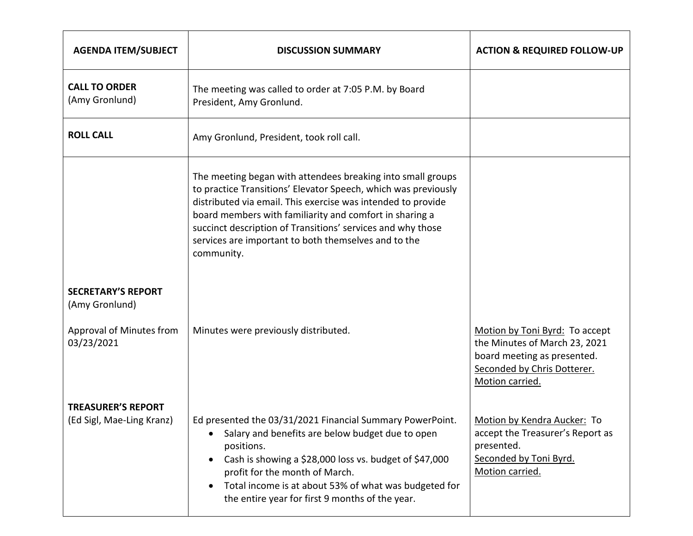| <b>AGENDA ITEM/SUBJECT</b>                             | <b>DISCUSSION SUMMARY</b>                                                                                                                                                                                                                                                                                                                                                                     | <b>ACTION &amp; REQUIRED FOLLOW-UP</b>                                                                                                           |
|--------------------------------------------------------|-----------------------------------------------------------------------------------------------------------------------------------------------------------------------------------------------------------------------------------------------------------------------------------------------------------------------------------------------------------------------------------------------|--------------------------------------------------------------------------------------------------------------------------------------------------|
| <b>CALL TO ORDER</b><br>(Amy Gronlund)                 | The meeting was called to order at 7:05 P.M. by Board<br>President, Amy Gronlund.                                                                                                                                                                                                                                                                                                             |                                                                                                                                                  |
| <b>ROLL CALL</b>                                       | Amy Gronlund, President, took roll call.                                                                                                                                                                                                                                                                                                                                                      |                                                                                                                                                  |
|                                                        | The meeting began with attendees breaking into small groups<br>to practice Transitions' Elevator Speech, which was previously<br>distributed via email. This exercise was intended to provide<br>board members with familiarity and comfort in sharing a<br>succinct description of Transitions' services and why those<br>services are important to both themselves and to the<br>community. |                                                                                                                                                  |
| <b>SECRETARY'S REPORT</b><br>(Amy Gronlund)            |                                                                                                                                                                                                                                                                                                                                                                                               |                                                                                                                                                  |
| Approval of Minutes from<br>03/23/2021                 | Minutes were previously distributed.                                                                                                                                                                                                                                                                                                                                                          | Motion by Toni Byrd: To accept<br>the Minutes of March 23, 2021<br>board meeting as presented.<br>Seconded by Chris Dotterer.<br>Motion carried. |
| <b>TREASURER'S REPORT</b><br>(Ed Sigl, Mae-Ling Kranz) | Ed presented the 03/31/2021 Financial Summary PowerPoint.<br>Salary and benefits are below budget due to open<br>positions.<br>Cash is showing a \$28,000 loss vs. budget of \$47,000<br>profit for the month of March.<br>Total income is at about 53% of what was budgeted for<br>the entire year for first 9 months of the year.                                                           | Motion by Kendra Aucker: To<br>accept the Treasurer's Report as<br>presented.<br>Seconded by Toni Byrd.<br>Motion carried.                       |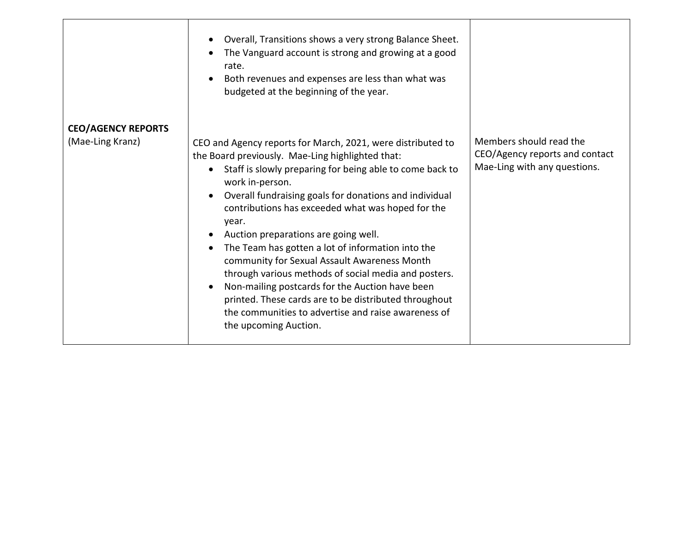|                           | Overall, Transitions shows a very strong Balance Sheet.<br>$\bullet$<br>The Vanguard account is strong and growing at a good<br>$\bullet$<br>rate.<br>Both revenues and expenses are less than what was<br>$\bullet$<br>budgeted at the beginning of the year.                                                                                                                                                                                                                                                                                                                                                                                                                                                                                                                           |                                                                                           |
|---------------------------|------------------------------------------------------------------------------------------------------------------------------------------------------------------------------------------------------------------------------------------------------------------------------------------------------------------------------------------------------------------------------------------------------------------------------------------------------------------------------------------------------------------------------------------------------------------------------------------------------------------------------------------------------------------------------------------------------------------------------------------------------------------------------------------|-------------------------------------------------------------------------------------------|
| <b>CEO/AGENCY REPORTS</b> |                                                                                                                                                                                                                                                                                                                                                                                                                                                                                                                                                                                                                                                                                                                                                                                          |                                                                                           |
| (Mae-Ling Kranz)          | CEO and Agency reports for March, 2021, were distributed to<br>the Board previously. Mae-Ling highlighted that:<br>Staff is slowly preparing for being able to come back to<br>$\bullet$<br>work in-person.<br>Overall fundraising goals for donations and individual<br>$\bullet$<br>contributions has exceeded what was hoped for the<br>year.<br>Auction preparations are going well.<br>$\bullet$<br>The Team has gotten a lot of information into the<br>$\bullet$<br>community for Sexual Assault Awareness Month<br>through various methods of social media and posters.<br>Non-mailing postcards for the Auction have been<br>$\bullet$<br>printed. These cards are to be distributed throughout<br>the communities to advertise and raise awareness of<br>the upcoming Auction. | Members should read the<br>CEO/Agency reports and contact<br>Mae-Ling with any questions. |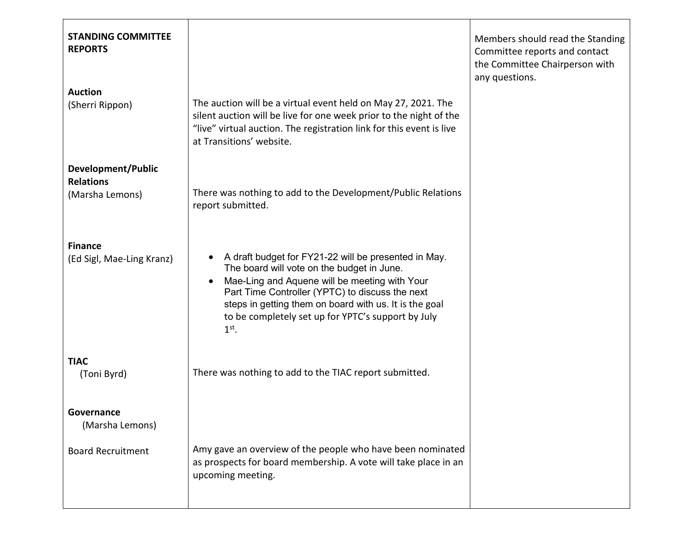| <b>STANDING COMMITTEE</b><br><b>REPORTS</b> |                                                                                                                                                                                                                                                                                                                                                | Members should read the Standing<br>Committee reports and contact<br>the Committee Chairperson with<br>any questions. |
|---------------------------------------------|------------------------------------------------------------------------------------------------------------------------------------------------------------------------------------------------------------------------------------------------------------------------------------------------------------------------------------------------|-----------------------------------------------------------------------------------------------------------------------|
| <b>Auction</b><br>(Sherri Rippon)           | The auction will be a virtual event held on May 27, 2021. The<br>silent auction will be live for one week prior to the night of the<br>"live" virtual auction. The registration link for this event is live<br>at Transitions' website.                                                                                                        |                                                                                                                       |
| Development/Public<br><b>Relations</b>      |                                                                                                                                                                                                                                                                                                                                                |                                                                                                                       |
| (Marsha Lemons)                             | There was nothing to add to the Development/Public Relations<br>report submitted.                                                                                                                                                                                                                                                              |                                                                                                                       |
| <b>Finance</b><br>(Ed Sigl, Mae-Ling Kranz) | A draft budget for FY21-22 will be presented in May.<br>The board will vote on the budget in June.<br>Mae-Ling and Aquene will be meeting with Your<br>$\bullet$<br>Part Time Controller (YPTC) to discuss the next<br>steps in getting them on board with us. It is the goal<br>to be completely set up for YPTC's support by July<br>$1st$ . |                                                                                                                       |
| <b>TIAC</b><br>(Toni Byrd)                  | There was nothing to add to the TIAC report submitted.                                                                                                                                                                                                                                                                                         |                                                                                                                       |
| Governance<br>(Marsha Lemons)               |                                                                                                                                                                                                                                                                                                                                                |                                                                                                                       |
| <b>Board Recruitment</b>                    | Amy gave an overview of the people who have been nominated<br>as prospects for board membership. A vote will take place in an<br>upcoming meeting.                                                                                                                                                                                             |                                                                                                                       |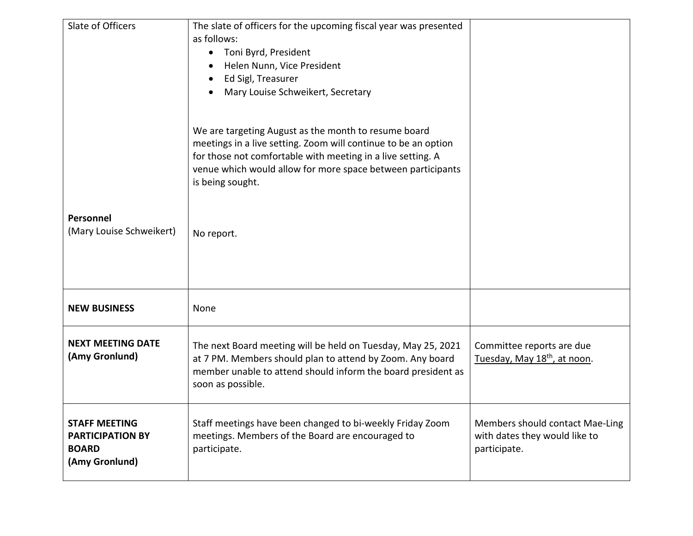| Slate of Officers                                                                 | The slate of officers for the upcoming fiscal year was presented<br>as follows:<br>Toni Byrd, President<br>$\bullet$<br>Helen Nunn, Vice President<br>$\bullet$<br>Ed Sigl, Treasurer<br>Mary Louise Schweikert, Secretary                                               |                                                                                  |
|-----------------------------------------------------------------------------------|--------------------------------------------------------------------------------------------------------------------------------------------------------------------------------------------------------------------------------------------------------------------------|----------------------------------------------------------------------------------|
|                                                                                   | We are targeting August as the month to resume board<br>meetings in a live setting. Zoom will continue to be an option<br>for those not comfortable with meeting in a live setting. A<br>venue which would allow for more space between participants<br>is being sought. |                                                                                  |
| Personnel<br>(Mary Louise Schweikert)                                             | No report.                                                                                                                                                                                                                                                               |                                                                                  |
| <b>NEW BUSINESS</b>                                                               | None                                                                                                                                                                                                                                                                     |                                                                                  |
| <b>NEXT MEETING DATE</b><br>(Amy Gronlund)                                        | The next Board meeting will be held on Tuesday, May 25, 2021<br>at 7 PM. Members should plan to attend by Zoom. Any board<br>member unable to attend should inform the board president as<br>soon as possible.                                                           | Committee reports are due<br>Tuesday, May 18 <sup>th</sup> , at noon.            |
| <b>STAFF MEETING</b><br><b>PARTICIPATION BY</b><br><b>BOARD</b><br>(Amy Gronlund) | Staff meetings have been changed to bi-weekly Friday Zoom<br>meetings. Members of the Board are encouraged to<br>participate.                                                                                                                                            | Members should contact Mae-Ling<br>with dates they would like to<br>participate. |